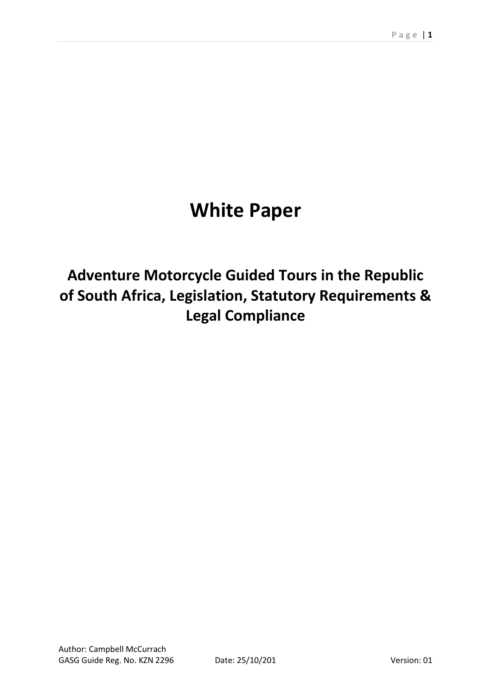# **White Paper**

## **Adventure Motorcycle Guided Tours in the Republic of South Africa, Legislation, Statutory Requirements & Legal Compliance**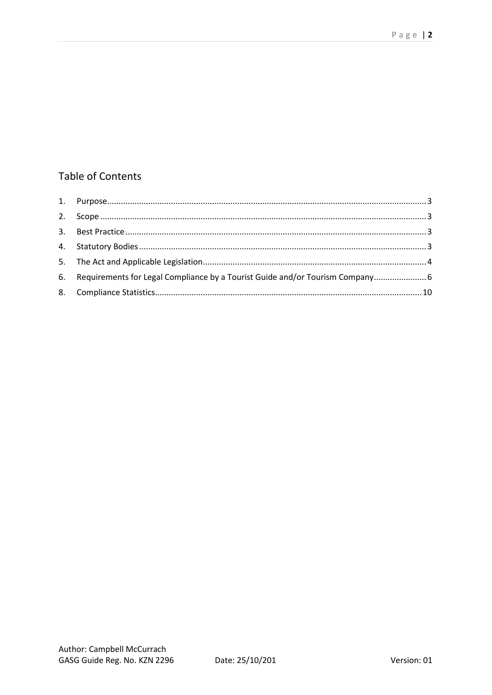## **Table of Contents**

| 6. Requirements for Legal Compliance by a Tourist Guide and/or Tourism Company 6 |  |
|----------------------------------------------------------------------------------|--|
|                                                                                  |  |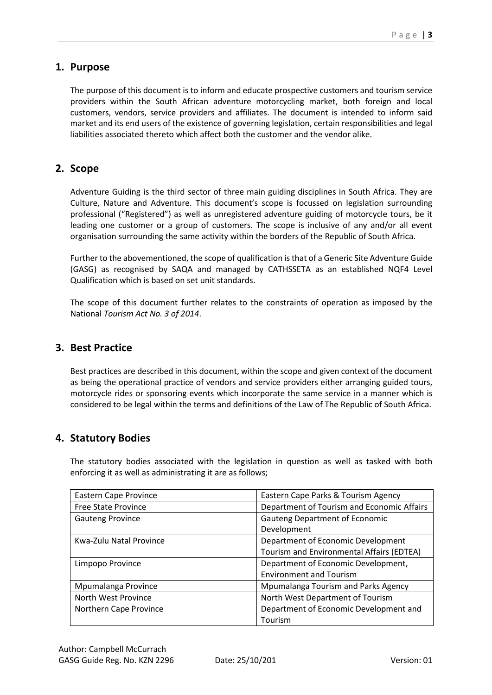#### <span id="page-2-0"></span>**1. Purpose**

The purpose of this document is to inform and educate prospective customers and tourism service providers within the South African adventure motorcycling market, both foreign and local customers, vendors, service providers and affiliates. The document is intended to inform said market and its end users of the existence of governing legislation, certain responsibilities and legal liabilities associated thereto which affect both the customer and the vendor alike.

#### <span id="page-2-1"></span>**2. Scope**

Adventure Guiding is the third sector of three main guiding disciplines in South Africa. They are Culture, Nature and Adventure. This document's scope is focussed on legislation surrounding professional ("Registered") as well as unregistered adventure guiding of motorcycle tours, be it leading one customer or a group of customers. The scope is inclusive of any and/or all event organisation surrounding the same activity within the borders of the Republic of South Africa.

Further to the abovementioned, the scope of qualification is that of a Generic Site Adventure Guide (GASG) as recognised by SAQA and managed by CATHSSETA as an established NQF4 Level Qualification which is based on set unit standards.

The scope of this document further relates to the constraints of operation as imposed by the National *Tourism Act No. 3 of 2014*.

#### <span id="page-2-2"></span>**3. Best Practice**

Best practices are described in this document, within the scope and given context of the document as being the operational practice of vendors and service providers either arranging guided tours, motorcycle rides or sponsoring events which incorporate the same service in a manner which is considered to be legal within the terms and definitions of the Law of The Republic of South Africa.

#### <span id="page-2-3"></span>**4. Statutory Bodies**

The statutory bodies associated with the legislation in question as well as tasked with both enforcing it as well as administrating it are as follows;

| <b>Eastern Cape Province</b> | Eastern Cape Parks & Tourism Agency        |  |  |
|------------------------------|--------------------------------------------|--|--|
| <b>Free State Province</b>   | Department of Tourism and Economic Affairs |  |  |
| <b>Gauteng Province</b>      | <b>Gauteng Department of Economic</b>      |  |  |
|                              | Development                                |  |  |
| Kwa-Zulu Natal Province      | Department of Economic Development         |  |  |
|                              | Tourism and Environmental Affairs (EDTEA)  |  |  |
| Limpopo Province             | Department of Economic Development,        |  |  |
|                              | <b>Environment and Tourism</b>             |  |  |
| Mpumalanga Province          | Mpumalanga Tourism and Parks Agency        |  |  |
| North West Province          | North West Department of Tourism           |  |  |
| Northern Cape Province       | Department of Economic Development and     |  |  |
|                              | Tourism                                    |  |  |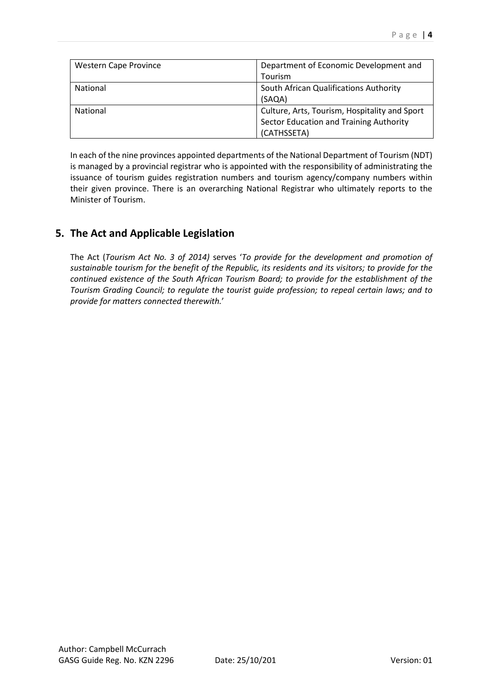| <b>Western Cape Province</b> | Department of Economic Development and        |
|------------------------------|-----------------------------------------------|
|                              | Tourism                                       |
| <b>National</b>              | South African Qualifications Authority        |
|                              | (SAQA)                                        |
| <b>National</b>              | Culture, Arts, Tourism, Hospitality and Sport |
|                              | Sector Education and Training Authority       |
|                              | (CATHSSETA)                                   |

In each of the nine provinces appointed departments of the National Department of Tourism (NDT) is managed by a provincial registrar who is appointed with the responsibility of administrating the issuance of tourism guides registration numbers and tourism agency/company numbers within their given province. There is an overarching National Registrar who ultimately reports to the Minister of Tourism.

## <span id="page-3-0"></span>**5. The Act and Applicable Legislation**

The Act (*Tourism Act No. 3 of 2014)* serves '*To provide for the development and promotion of sustainable tourism for the benefit of the Republic, its residents and its visitors; to provide for the continued existence of the South African Tourism Board; to provide for the establishment of the Tourism Grading Council; to regulate the tourist guide profession; to repeal certain laws; and to provide for matters connected therewith.*'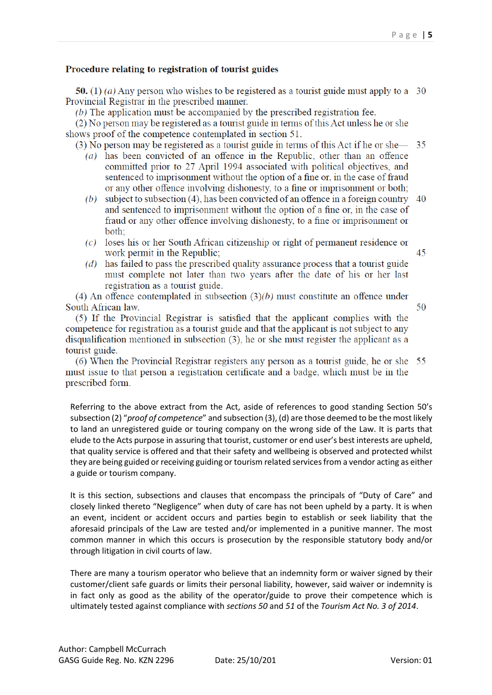#### Procedure relating to registration of tourist guides

50. (1) (a) Any person who wishes to be registered as a tourist guide must apply to a 30 Provincial Registrar in the prescribed manner.

(b) The application must be accompanied by the prescribed registration fee.

(2) No person may be registered as a tourist guide in terms of this Act unless he or she shows proof of the competence contemplated in section 51.

(3) No person may be registered as a tourist guide in terms of this Act if he or she— 35

- (a) has been convicted of an offence in the Republic, other than an offence committed prior to 27 April 1994 associated with political objectives, and sentenced to imprisonment without the option of a fine or, in the case of fraud or any other offence involving dishonesty, to a fine or imprisonment or both;
- (b) subject to subsection (4), has been convicted of an offence in a foreign country  $\sim 40$ and sentenced to imprisonment without the option of a fine or, in the case of fraud or any other offence involving dishonesty, to a fine or imprisonment or both:
- $(c)$  loses his or her South African citizenship or right of permanent residence or work permit in the Republic;
- (d) has failed to pass the prescribed quality assurance process that a tourist guide must complete not later than two years after the date of his or her last registration as a tourist guide.

(4) An offence contemplated in subsection  $(3)(b)$  must constitute an offence under South African law.

(5) If the Provincial Registrar is satisfied that the applicant complies with the competence for registration as a tourist guide and that the applicant is not subject to any disqualification mentioned in subsection  $(3)$ , he or she must register the applicant as a tourist guide.

(6) When the Provincial Registrar registers any person as a tourist guide, he or she 55 must issue to that person a registration certificate and a badge, which must be in the prescribed form.

Referring to the above extract from the Act, aside of references to good standing Section 50's subsection (2) "*proof of competence*" and subsection (3), (d) are those deemed to be the most likely to land an unregistered guide or touring company on the wrong side of the Law. It is parts that elude to the Acts purpose in assuring that tourist, customer or end user's best interests are upheld, that quality service is offered and that their safety and wellbeing is observed and protected whilst they are being guided or receiving guiding or tourism related services from a vendor acting as either a guide or tourism company.

It is this section, subsections and clauses that encompass the principals of "Duty of Care" and closely linked thereto "Negligence" when duty of care has not been upheld by a party. It is when an event, incident or accident occurs and parties begin to establish or seek liability that the aforesaid principals of the Law are tested and/or implemented in a punitive manner. The most common manner in which this occurs is prosecution by the responsible statutory body and/or through litigation in civil courts of law.

There are many a tourism operator who believe that an indemnity form or waiver signed by their customer/client safe guards or limits their personal liability, however, said waiver or indemnity is in fact only as good as the ability of the operator/guide to prove their competence which is ultimately tested against compliance with *sections 50* and *51* of the *Tourism Act No. 3 of 2014*.

45

50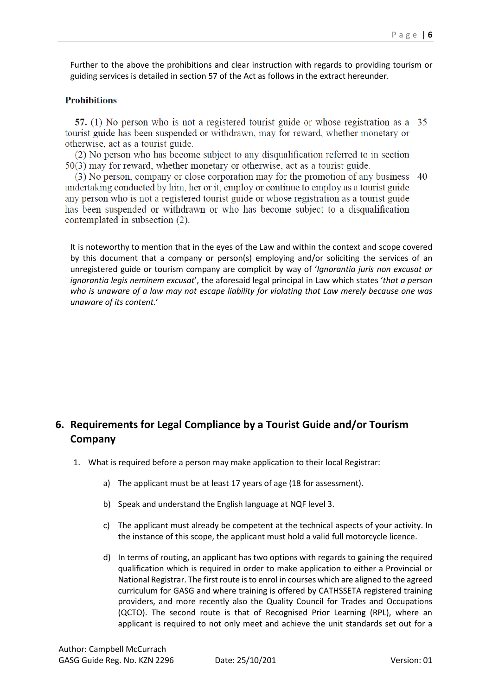Further to the above the prohibitions and clear instruction with regards to providing tourism or guiding services is detailed in section 57 of the Act as follows in the extract hereunder.

#### **Prohibitions**

57. (1) No person who is not a registered tourist guide or whose registration as a 35 tourist guide has been suspended or withdrawn, may for reward, whether monetary or otherwise, act as a tourist guide.

(2) No person who has become subject to any disqualification referred to in section  $50(3)$  may for reward, whether monetary or otherwise, act as a tourist guide.

(3) No person, company or close corporation may for the promotion of any business 40 undertaking conducted by him, her or it, employ or continue to employ as a tourist guide any person who is not a registered tourist guide or whose registration as a tourist guide has been suspended or withdrawn or who has become subject to a disqualification contemplated in subsection (2).

It is noteworthy to mention that in the eyes of the Law and within the context and scope covered by this document that a company or person(s) employing and/or soliciting the services of an unregistered guide or tourism company are complicit by way of '*Ignorantia juris non excusat or ignorantia legis neminem excusat*', the aforesaid legal principal in Law which states '*that a person who is unaware of a law may not escape liability for violating that Law merely because one was unaware of its content.*'

## <span id="page-5-0"></span>**6. Requirements for Legal Compliance by a Tourist Guide and/or Tourism Company**

- 1. What is required before a person may make application to their local Registrar:
	- a) The applicant must be at least 17 years of age (18 for assessment).
	- b) Speak and understand the English language at NQF level 3.
	- c) The applicant must already be competent at the technical aspects of your activity. In the instance of this scope, the applicant must hold a valid full motorcycle licence.
	- d) In terms of routing, an applicant has two options with regards to gaining the required qualification which is required in order to make application to either a Provincial or National Registrar. The first route is to enrol in courses which are aligned to the agreed curriculum for GASG and where training is offered by CATHSSETA registered training providers, and more recently also the Quality Council for Trades and Occupations (QCTO). The second route is that of Recognised Prior Learning (RPL), where an applicant is required to not only meet and achieve the unit standards set out for a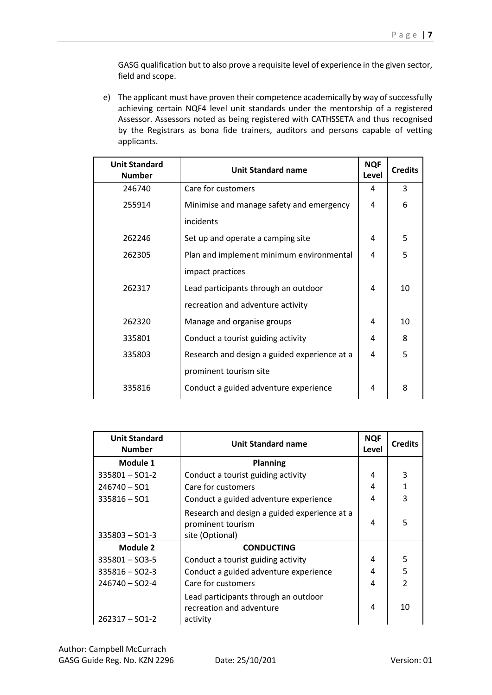GASG qualification but to also prove a requisite level of experience in the given sector, field and scope.

e) The applicant must have proven their competence academically by way of successfully achieving certain NQF4 level unit standards under the mentorship of a registered Assessor. Assessors noted as being registered with CATHSSETA and thus recognised by the Registrars as bona fide trainers, auditors and persons capable of vetting applicants.

| <b>Unit Standard</b><br><b>Number</b> | <b>Unit Standard name</b>                    | <b>NQF</b><br>Level | <b>Credits</b> |
|---------------------------------------|----------------------------------------------|---------------------|----------------|
| 246740                                | Care for customers                           | 4                   | 3              |
| 255914                                | Minimise and manage safety and emergency     | 4                   | 6              |
|                                       | incidents                                    |                     |                |
| 262246                                | Set up and operate a camping site            | 4                   | 5              |
| 262305                                | Plan and implement minimum environmental     | 4                   | 5              |
|                                       | impact practices                             |                     |                |
| 262317                                | Lead participants through an outdoor         | 4                   | 10             |
|                                       | recreation and adventure activity            |                     |                |
| 262320                                | Manage and organise groups                   | 4                   | 10             |
| 335801                                | Conduct a tourist guiding activity           | 4                   | 8              |
| 335803                                | Research and design a guided experience at a | 4                   | 5              |
|                                       | prominent tourism site                       |                     |                |
| 335816                                | Conduct a guided adventure experience        | 4                   | 8              |

| <b>Unit Standard</b><br><b>Number</b> | <b>Unit Standard name</b>                                                            | <b>NQF</b><br>Level | <b>Credits</b> |
|---------------------------------------|--------------------------------------------------------------------------------------|---------------------|----------------|
| Module 1                              | <b>Planning</b>                                                                      |                     |                |
| $335801 - SO1 - 2$                    | Conduct a tourist guiding activity                                                   | 4                   | 3              |
| $246740 - SO1$                        | Care for customers                                                                   | 4                   | $\mathbf{1}$   |
| $335816 - SO1$                        | Conduct a guided adventure experience                                                | 4                   | 3              |
| $335803 - SO1-3$                      | Research and design a guided experience at a<br>prominent tourism<br>site (Optional) | 4                   | 5              |
| Module 2                              | <b>CONDUCTING</b>                                                                    |                     |                |
| $335801 - SO3-5$                      | Conduct a tourist guiding activity                                                   | 4                   | 5              |
| $335816 - SO2-3$                      | Conduct a guided adventure experience                                                | 4                   | 5              |
| $246740 - SO2-4$                      | Care for customers                                                                   | 4                   | $\mathfrak{p}$ |
| $262317 - SO1-2$                      | Lead participants through an outdoor<br>recreation and adventure<br>activity         | 4                   | 10             |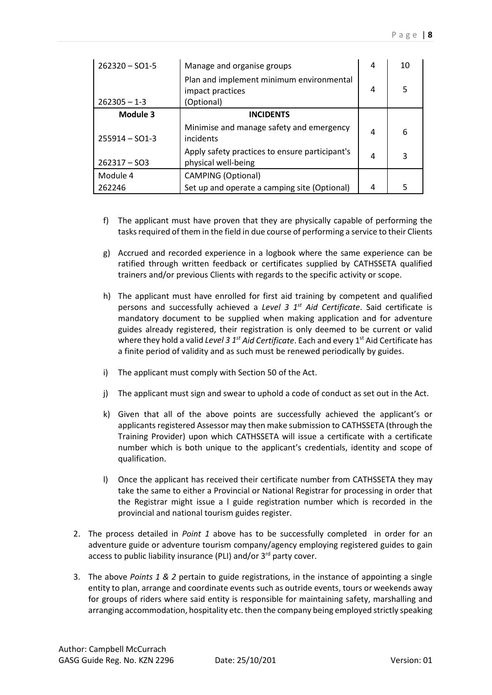| $262320 - SO1 - 5$ | Manage and organise groups                                                 | 4 | 10 |
|--------------------|----------------------------------------------------------------------------|---|----|
| $262305 - 1 - 3$   | Plan and implement minimum environmental<br>impact practices<br>(Optional) | 4 | 5  |
| Module 3           | <b>INCIDENTS</b>                                                           |   |    |
| $255914 - SO1-3$   | Minimise and manage safety and emergency<br>incidents                      | 4 | 6  |
| $262317 - SO3$     | Apply safety practices to ensure participant's<br>physical well-being      | 4 | 3  |
| Module 4           | <b>CAMPING (Optional)</b>                                                  |   |    |
| 262246             | Set up and operate a camping site (Optional)                               | 4 | 5  |

- f) The applicant must have proven that they are physically capable of performing the tasks required of them in the field in due course of performing a service to their Clients
- g) Accrued and recorded experience in a logbook where the same experience can be ratified through written feedback or certificates supplied by CATHSSETA qualified trainers and/or previous Clients with regards to the specific activity or scope.
- h) The applicant must have enrolled for first aid training by competent and qualified persons and successfully achieved a *Level 3 1st Aid Certificate*. Said certificate is mandatory document to be supplied when making application and for adventure guides already registered, their registration is only deemed to be current or valid where they hold a valid *Level 3 1<sup>st</sup> Aid Certificate*. Each and every 1<sup>st</sup> Aid Certificate has a finite period of validity and as such must be renewed periodically by guides.
- i) The applicant must comply with Section 50 of the Act.
- j) The applicant must sign and swear to uphold a code of conduct as set out in the Act.
- k) Given that all of the above points are successfully achieved the applicant's or applicants registered Assessor may then make submission to CATHSSETA (through the Training Provider) upon which CATHSSETA will issue a certificate with a certificate number which is both unique to the applicant's credentials, identity and scope of qualification.
- l) Once the applicant has received their certificate number from CATHSSETA they may take the same to either a Provincial or National Registrar for processing in order that the Registrar might issue a l guide registration number which is recorded in the provincial and national tourism guides register.
- 2. The process detailed in *Point 1* above has to be successfully completed in order for an adventure guide or adventure tourism company/agency employing registered guides to gain access to public liability insurance (PLI) and/or 3<sup>rd</sup> party cover.
- 3. The above *Points 1 & 2* pertain to guide registrations, in the instance of appointing a single entity to plan, arrange and coordinate events such as outride events, tours or weekends away for groups of riders where said entity is responsible for maintaining safety, marshalling and arranging accommodation, hospitality etc. then the company being employed strictly speaking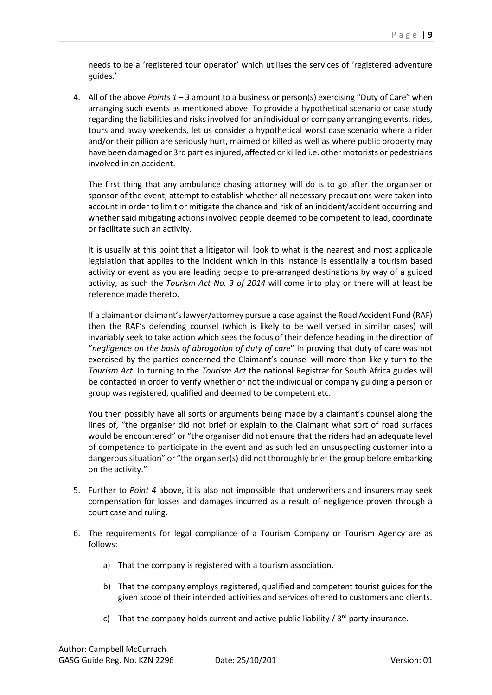needs to be a 'registered tour operator' which utilises the services of 'registered adventure guides.'

4. All of the above *Points 1 – 3* amount to a business or person(s) exercising "Duty of Care" when arranging such events as mentioned above. To provide a hypothetical scenario or case study regarding the liabilities and risks involved for an individual or company arranging events, rides, tours and away weekends, let us consider a hypothetical worst case scenario where a rider and/or their pillion are seriously hurt, maimed or killed as well as where public property may have been damaged or 3rd parties injured, affected or killed i.e. other motorists or pedestrians involved in an accident.

The first thing that any ambulance chasing attorney will do is to go after the organiser or sponsor of the event, attempt to establish whether all necessary precautions were taken into account in order to limit or mitigate the chance and risk of an incident/accident occurring and whether said mitigating actions involved people deemed to be competent to lead, coordinate or facilitate such an activity.

It is usually at this point that a litigator will look to what is the nearest and most applicable legislation that applies to the incident which in this instance is essentially a tourism based activity or event as you are leading people to pre-arranged destinations by way of a guided activity, as such the *Tourism Act No. 3 of 2014* will come into play or there will at least be reference made thereto.

If a claimant or claimant's lawyer/attorney pursue a case against the Road Accident Fund (RAF) then the RAF's defending counsel (which is likely to be well versed in similar cases) will invariably seek to take action which sees the focus of their defence heading in the direction of "*negligence on the basis of abrogation of duty of care*" In proving that duty of care was not exercised by the parties concerned the Claimant's counsel will more than likely turn to the *Tourism Act*. In turning to the *Tourism Act* the national Registrar for South Africa guides will be contacted in order to verify whether or not the individual or company guiding a person or group was registered, qualified and deemed to be competent etc.

You then possibly have all sorts or arguments being made by a claimant's counsel along the lines of, "the organiser did not brief or explain to the Claimant what sort of road surfaces would be encountered" or "the organiser did not ensure that the riders had an adequate level of competence to participate in the event and as such led an unsuspecting customer into a dangerous situation" or "the organiser(s) did not thoroughly brief the group before embarking on the activity."

- 5. Further to *Point 4* above, it is also not impossible that underwriters and insurers may seek compensation for losses and damages incurred as a result of negligence proven through a court case and ruling.
- 6. The requirements for legal compliance of a Tourism Company or Tourism Agency are as follows:
	- a) That the company is registered with a tourism association.
	- b) That the company employs registered, qualified and competent tourist guides for the given scope of their intended activities and services offered to customers and clients.
	- c) That the company holds current and active public liability  $\frac{1}{3}$  party insurance.